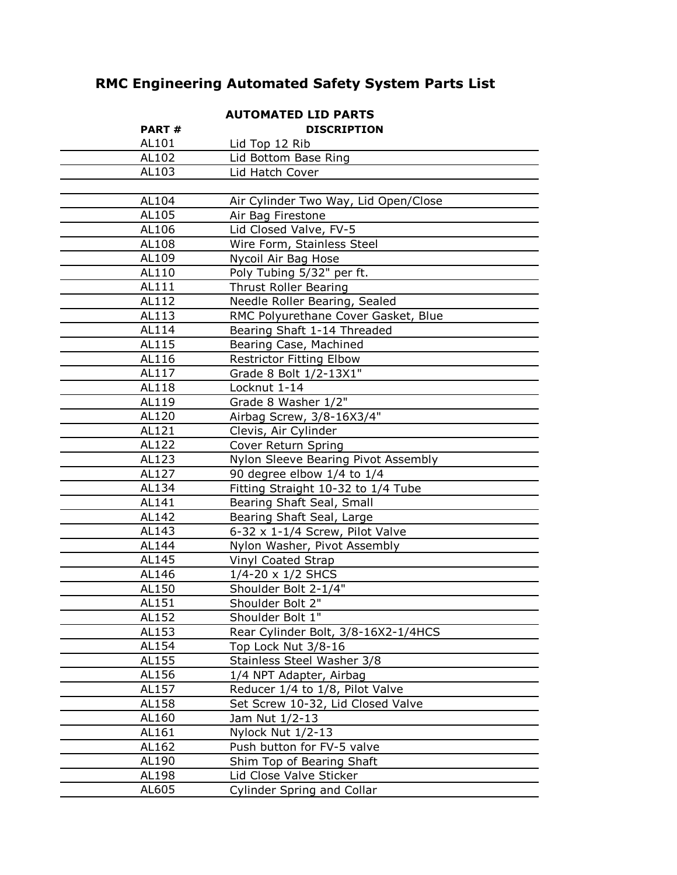# **RMC Engineering Automated Safety System Parts List**

| <b>AUTOMATED LID PARTS</b> |                                      |
|----------------------------|--------------------------------------|
| <b>PART#</b>               | <b>DISCRIPTION</b>                   |
| AL101                      | Lid Top 12 Rib                       |
| AL102                      | Lid Bottom Base Ring                 |
| AL103                      | Lid Hatch Cover                      |
|                            |                                      |
| AL104                      | Air Cylinder Two Way, Lid Open/Close |
| AL105                      | Air Bag Firestone                    |
| AL106                      | Lid Closed Valve, FV-5               |
| AL108                      | Wire Form, Stainless Steel           |
| AL109                      | Nycoil Air Bag Hose                  |
| AL110                      | Poly Tubing 5/32" per ft.            |
| AL111                      | <b>Thrust Roller Bearing</b>         |
| AL112                      | Needle Roller Bearing, Sealed        |
| AL113                      | RMC Polyurethane Cover Gasket, Blue  |
| AL114                      | Bearing Shaft 1-14 Threaded          |
| AL115                      | Bearing Case, Machined               |
| AL116                      | <b>Restrictor Fitting Elbow</b>      |
| AL117                      | Grade 8 Bolt 1/2-13X1"               |
| AL118                      | Locknut 1-14                         |
| AL119                      | Grade 8 Washer 1/2"                  |
| AL120                      | Airbag Screw, 3/8-16X3/4"            |
| AL121                      | Clevis, Air Cylinder                 |
| AL122                      | Cover Return Spring                  |
| AL123                      | Nylon Sleeve Bearing Pivot Assembly  |
| AL127                      | 90 degree elbow 1/4 to 1/4           |
| AL134                      | Fitting Straight 10-32 to 1/4 Tube   |
| AL141                      | Bearing Shaft Seal, Small            |
| AL142                      | Bearing Shaft Seal, Large            |
| AL143                      | 6-32 x 1-1/4 Screw, Pilot Valve      |
| AL144                      | Nylon Washer, Pivot Assembly         |
| AL145                      | Vinyl Coated Strap                   |
| AL146                      | $1/4 - 20 \times 1/2$ SHCS           |
| AL150                      | Shoulder Bolt 2-1/4"                 |
| AL151                      | Shoulder Bolt 2"                     |
| AL152                      | Shoulder Bolt 1"                     |
| AL153                      | Rear Cylinder Bolt, 3/8-16X2-1/4HCS  |
| AL154                      | Top Lock Nut 3/8-16                  |
| AL155                      | Stainless Steel Washer 3/8           |
| AL156                      | 1/4 NPT Adapter, Airbag              |
| AL157                      | Reducer 1/4 to 1/8, Pilot Valve      |
| AL158                      | Set Screw 10-32, Lid Closed Valve    |
| AL160                      | Jam Nut 1/2-13                       |
| AL161                      | Nylock Nut 1/2-13                    |
| AL162                      | Push button for FV-5 valve           |
| AL190                      | Shim Top of Bearing Shaft            |
| AL198                      | Lid Close Valve Sticker              |
| AL605                      | Cylinder Spring and Collar           |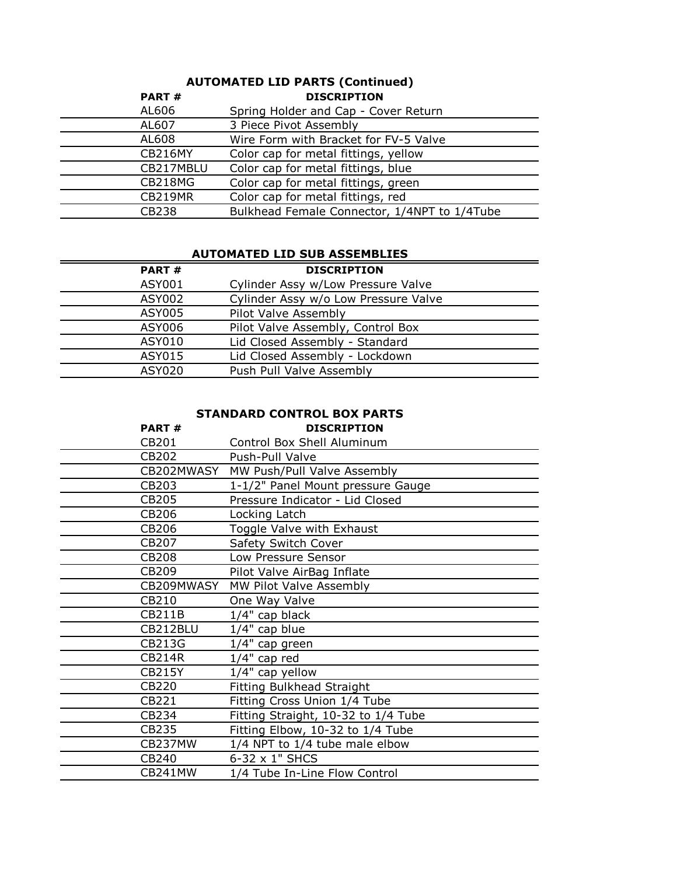#### **PART #** AL606 Spring Holder and Cap - Cover Return AL607 3 Piece Pivot Assembly AL608 Wire Form with Bracket for FV-5 Valve CB216MY Color cap for metal fittings, yellow CB217MBLU Color cap for metal fittings, blue CB218MG Color cap for metal fittings, green CB219MR Color cap for metal fittings, red CB238 Bulkhead Female Connector, 1/4NPT to 1/4Tube **DISCRIPTION AUTOMATED LID PARTS (Continued)**

#### **AUTOMATED LID SUB ASSEMBLIES**

| <b>PART#</b>  | <b>DISCRIPTION</b>                   |
|---------------|--------------------------------------|
| ASY001        | Cylinder Assy w/Low Pressure Valve   |
| ASY002        | Cylinder Assy w/o Low Pressure Valve |
| <b>ASY005</b> | Pilot Valve Assembly                 |
| ASY006        | Pilot Valve Assembly, Control Box    |
| ASY010        | Lid Closed Assembly - Standard       |
| ASY015        | Lid Closed Assembly - Lockdown       |
| ASY020        | Push Pull Valve Assembly             |
|               |                                      |

## **STANDARD CONTROL BOX PARTS**

| <b>PART#</b>  | <b>DISCRIPTION</b>                  |
|---------------|-------------------------------------|
| CB201         | Control Box Shell Aluminum          |
| CB202         | Push-Pull Valve                     |
| CB202MWASY    | MW Push/Pull Valve Assembly         |
| CB203         | 1-1/2" Panel Mount pressure Gauge   |
| CB205         | Pressure Indicator - Lid Closed     |
| CB206         | Locking Latch                       |
| CB206         | Toggle Valve with Exhaust           |
| CB207         | Safety Switch Cover                 |
| CB208         | Low Pressure Sensor                 |
| CB209         | Pilot Valve AirBag Inflate          |
| CB209MWASY    | MW Pilot Valve Assembly             |
| CB210         | One Way Valve                       |
| CB211B        | 1/4" cap black                      |
| CB212BLU      | $1/4"$ cap blue                     |
| CB213G        | $1/4"$ cap green                    |
| <b>CB214R</b> | $1/4"$ cap red                      |
| <b>CB215Y</b> | $1/4"$ cap yellow                   |
| CB220         | <b>Fitting Bulkhead Straight</b>    |
| CB221         | Fitting Cross Union 1/4 Tube        |
| CB234         | Fitting Straight, 10-32 to 1/4 Tube |
| CB235         | Fitting Elbow, 10-32 to 1/4 Tube    |
| CB237MW       | 1/4 NPT to 1/4 tube male elbow      |
| CB240         | 6-32 x 1" SHCS                      |
| CB241MW       | 1/4 Tube In-Line Flow Control       |